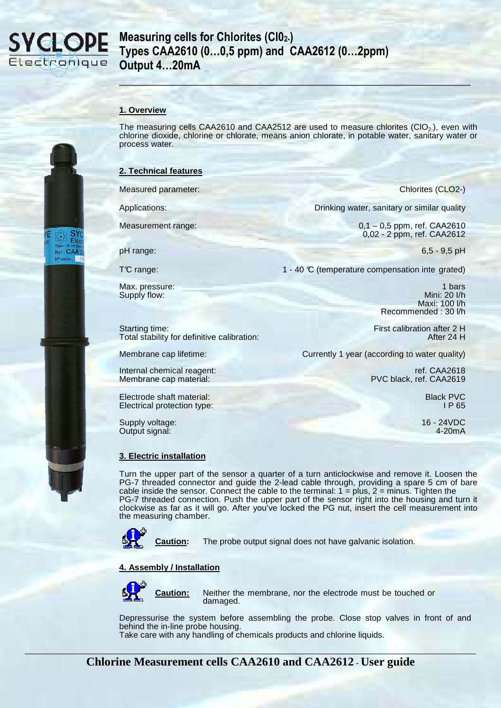

## **Measuring cells for Chlorites (Cl02-) Types CAA2610 (0…0,5 ppm) and CAA2612 (0…2ppm) Output 4…20mA**

### **1. Overview**

The measuring cells CAA2610 and CAA2512 are used to measure chlorites (CIO<sub>2</sub>), even with chlorine dioxide, chlorine or chlorate, means anion chlorate, in potable water, sanitary water or process water.

**\_\_\_\_\_\_\_\_\_\_\_\_\_\_\_\_\_\_\_\_\_\_\_\_\_\_\_\_\_\_\_\_\_\_\_\_\_\_\_\_\_\_\_\_\_\_\_\_\_\_\_\_\_\_\_\_\_\_\_\_\_** 

#### **2. Technical features**

Measured parameter: Chlorites (CLO2-)

Supply flow:

Applications: Drinking water, sanitary or similar quality

Measurement range: 0,1 – 0,5 ppm, ref. CAA2610 0,02 - 2 ppm, ref. CAA2612

pH range: 6,5 - 9,5 pH

TC range: 1 - 40 °C (temperature compensation inte grated)

Max. pressure: 1 bars 1 bars 1 bars 1 bars 1 bars 1 bars 1 bars 1 bars 1 bars 1 bars 1 bars 1 bars 1 bars 1 bars 1 bars 1 bars 1 bars 1 bars 1 bars 1 bars 1 bars 1 bars 1 bars 1 bars 1 bars 1 bars 1 bars 1 bars 1 bars 1 ba Maxi: 100 l/h Recommended : 30 l/h

Starting time:<br>Total stability for definitive calibration:<br>After 24 H

Membrane cap lifetime: Currently 1 year (according to water quality)

Internal chemical reagent: ref. CAA2618 Membrane cap material: PVC black, ref. CAA2619

#### Electrode shaft material:<br>
Electrical protection type: 
IP 65 Electrical protection type:

Total stability for definitive calibration:

Supply voltage: 16 - 24VDC<br>Output signal: 16 - 24VDC<br>
4-20mA Output signal:

## **3. Electric installation**

Turn the upper part of the sensor a quarter of a turn anticlockwise and remove it. Loosen the PG-7 threaded connector and guide the 2-lead cable through, providing a spare 5 cm of bare cable inside the sensor. Connect the cable to the terminal:  $1 = plus$ ,  $2 = minus$ . Tighten the PG-7 threaded connection. Push the upper part of the sensor right into the housing and turn it clockwise as far as it will go. After you've locked the PG nut, insert the cell measurement into the measuring chamber.



**Caution:** The probe output signal does not have galvanic isolation.

### **4. Assembly / Installation**



**Caution:** Neither the membrane, nor the electrode must be touched or damaged.

Depressurise the system before assembling the probe. Close stop valves in front of and behind the in-line probe housing. Take care with any handling of chemicals products and chlorine liquids.